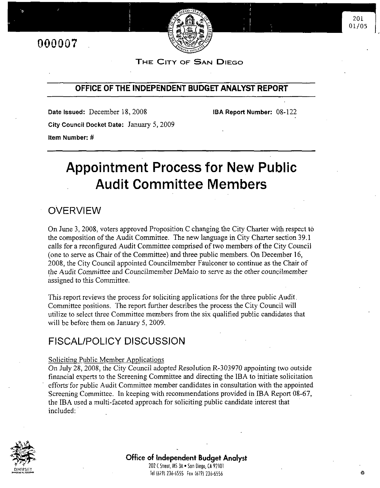

201 01/05

THE CITY OF SAN DIEGO

**IBA Report Number: 08-122** 

## OFFICE OF THE INDEPENDENT BUDGET ANALYST REPORT

Date Issued: December 18, 2008 City Council Docket Date: January 5, 2009 Item Number: #

# **Appointment Process for New Public Audit Committee Members**

## **OVERVIEW**

On June 3, 2008, voters approved Proposition C changing the City Charter with respect to the composition of the Audit Committee. The new language in City Charter section 39.1 calls for a reconfigured Audit Committee comprised of two members of the City Council (one to serve as Chair of the Committee) and three public members. On December 16, 2008, the City Council appointed Councilmember Faulconer to continue as the Chair of the Audit Committee and Councilmember DeMaio to serve as the other councilmember assigned to this Committee.

This report reviews the process for soliciting applications for the three public Audit. Committee positions. The report further describes the process the City Council will utilize to select three Committee members from the six qualified public candidates that will be before them on January 5, 2009.

## **FISCAL/POLICY DISCUSSION**

### Soliciting Public Member Applications

On July 28, 2008, the City Council adopted Resolution R-303970 appointing two outside financial experts to the Screening Committee and directing the IBA to initiate solicitation efforts for public Audit Committee member candidates in consultation with the appointed Screening Committee. In keeping with recommendations provided in IBA Report 08-67, the IBA used a multi-faceted approach for soliciting public candidate interest that included:

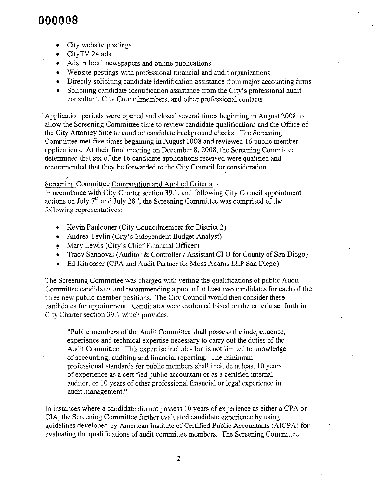# NANNAS

- City website postings
- CityTV 24 ads CityTv additional contracts and contracts are all the contracts of the contracts of the contracts of the contracts of the contracts of the contracts of the contracts of the contracts of the contracts of the contracts of th
- Ads in local newspapers and online publications
- Website postings professional financial audit
- $\bullet$  Directly soliciting candidate identification assistance from major accounting firms
- $\bullet$  Soliciting candidate identification assistance from the City's professional audit consultant, City Councilmembers, and other professional contacts

Application periods beginning to allow the Screening Committee time to review candidate qualifications and the Office of  $\mathcal{L}$  scalendate candidate candidate candidate qualifications of  $\mathcal{L}$ the City Attorney time to conduct candidate background checks. The Screening Committee met five times beginning in August 2008 and reviewed 16 public member applications. At their final meeting on December 8, 2008, the Screening Committee determined that six of the 16 candidate applications received were qualified and recommended that they be forwarded to the City Council for consideration.

Screening Committee Composition and Applied Criteria<br>In accordance with City Charter section 39.1, and following City Council appointment accordance with City Charter section 39.1, following Council Council Council Council Council Council Council Co actions on July 7 and July 28, the Screening Committee following representatives:

- Kevin Faulconer (City Councilmember for District 2)
- Andrea Tevlin (City's Independent Budget Analyst)
- Mary Lewis (City's Chief Financial Officer)
- Tracy Sandoval (Auditor  $&$  Controller / Assistant CFO for County of San Diego)
- Ed Kitrosser (CPA and Audit Partner for Moss Adams LLP San Diego)

The Screening Committee was charged with vetting the qualifications of public Audit Committee candidates and recommending a pool of at least two candidates for each of the three new public member positions. The City Council would then consider these candidates for appointment. Candidates were evaluated based on the criteria set forth in City Charter section 39.1 which provides:

"Public members of the Audit Committee shall possess the independence, experience and technical expertise necessary to carry out the duties of the Audit Committee. This expertise includes but is not limited to knowledge of accounting, auditing and financial reporting. The minimum professional standards for public members shall include at least 10 years of experience as a certified public accountant or as a certified internal auditor, or 10 years of other professional financial or legal experience in audit management."

In instances where a candidate did not possess 10 years of experience as either a CPA or CIA, the Screening Committee further evaluated candidate experience by using guidelines developed by American Institute of Certified Public Accountants (AICPA) for evaluating the qualifications of audit committee members. The Screening Committee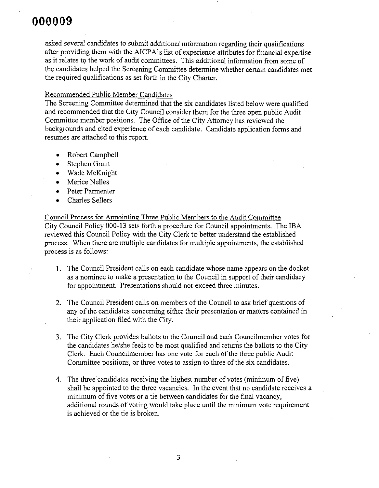asked several candidates to submit additional information regarding their qualifications after providing them with the AICPA's list of experience attributes for financial expertise as it relates to the work of audit committees. This additional information from some of the candidates helped the Screening Committee determine whether certain candidates met the required qualifications as set forth in the City Charter.

## Recommended Public Member Candidates

The Screening Committee determined that the six candidates listed below were qualified and recommended that the City Council consider them for the three open public Audit Committee member positions. The Office of the City Attorney has reviewed the backgrounds and cited experience of each candidate. Candidate application forms and resumes are attached to this report.

- Robert Campbell
- Stephen Grant
- Wade McKnight
- Merice Nelles
- Peter Parmenter Peter Parmenter
- Charles Sellers

Council Process for Annointing Three Public Members to the Audit Committee City Council Policy 000-13 sets forth a procedure for Council appointments. The IBA reviewed this Council Policy with the City Clerk to better understand the established process. When there are multiple candidates for multiple appointments, the established process is as follows:

- 1. The Council President calls on each candidate whose name appears on the docket as a nominee to make a presentation to the Council in support of their candidacy for appointment. Presentations should not exceed three minutes.
- 2. The Council President calls on members of the Council to ask brief questions of any of the candidates concerning either their presentation or matters contained in their application filed with the City.
- 3. The City Clerk provides ballots to the Council and each Councilmember votes for the candidates he/she feels to be most qualified and returns the ballots to the City Clerk. Each Councilmember has one vote for each of the three public Audit Committee positions, or three votes to assign to three of the six candidates.
- 4. The three candidates receiving the highest number of votes (minimum of five) shall be appointed to the three vacancies. In the event that no candidate receives a minimum of five votes or a tie between candidates for the final vacancy, additional rounds of voting would take place until the minimum vote requirement is achieved or the tie is broken.

3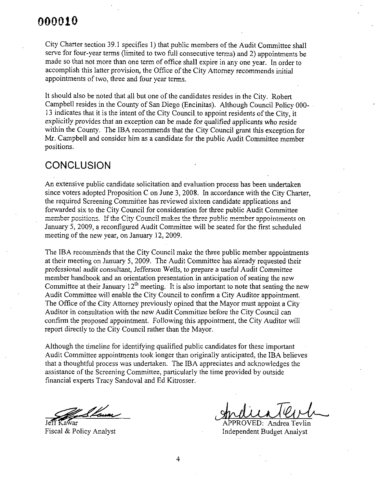#### 000010 ---

City Charter section 39.1 specifies 1) that public members of the Audit Committee shall serve for four-year terms (limited to two full consecutive terms) and 2) appointments be made so that not more than one term of office shall expire in any one year. In order to accomplish this latter provision, the Office of the City Attorney recommends initial appointments of two, three and four year terms.

It should also be noted that all but one of the candidates resides in the City. Robert Campbell resides in the County of San Diego (Encinitias). Although Council Policy 000-13 indicates that it is the intent of the City Council to appoint residents of the City, it explicitly provides that an exception can be made for qualified applicants who reside within the County. The IBA recommends that the City Council grant this exception for Mr. Campbell and consider him as a candidate for the public Audit Committee member positions.

## **CONCLUSION**

An extensive public candidate solicitation and evaluation process has been undertaken since voters adopted Proposition C on June 3, 2008. In accordance with the City Charter, the required Screening Committee has reviewed sixteen candidate applications and forwarded six to the City Council for consideration for three public Audit Committee positions. If the City Council makes the three public member appointments on January 5, 2009, a reconfigured Audit Committee will be seated for the first scheduled meeting of the new year, on January 12, 2009.

The IBA recommends that the City Council make the three public member appointments at their meeting on January 5, 2009. The Audit Committee has already requested their professional audit consultant, Jefferson Wells, to prepare a useful Audit Committee member handbook and an orientation presentation in anticipation of seating the new Committee at their January  $12^{\circ}$  meeting. It is also important to note that seating the new Audit Committee will enable the City Council to confirm a City Auditor appointment. The Office of the City Attorney previously opined that the Mayor must appoint a City Auditor in consultation with the new Audit Committee before the City Council can confirm the proposed appointment. Following this appointment, the City Auditor will report directly to the City Council rather than the Mayor.

Although the timeline for identifying qualified public candidates for these important Audit Committee appointments took longer than originally anticipated, the IBA believes that a thoughtful process was undertaken. The IBA appreciates and acknowledges the assistance of the Screening Committee, particularly the time provided by outside financial experts Tracy Sandoval and Ed Kitrosser.

'L Lavar

Andrea Tevlin APPROVED: Tevlin Fiscal & Policy Analyst **Independent Budget Analyst**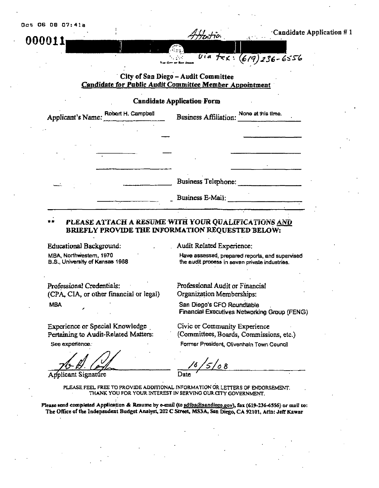00001.

### Candidate Application #1

## City of San Diego - Audit Committee **Candidate for Public Audit Committee Member Appointment**

Uia

(619)

V

236-6556

### **Candidate Application Form**

| Applicant's Name: Robert H. Campbell | Business Affiliation: None at this time. |  |
|--------------------------------------|------------------------------------------|--|
|                                      |                                          |  |
|                                      |                                          |  |
|                                      |                                          |  |
|                                      |                                          |  |
|                                      | <b>Business Telephone:</b>               |  |
|                                      | Business E-Mail:                         |  |

### PLEASE ATTACH A RESUME WITH YOUR QUALIFICATIONS AND BRIEFLY PROVIDE THE INFORMATION REQUESTED BELOW:

**Educational Background:** MBA, Northwestern, 1970 B.S., University of Kansas 1968 Audit Related Experience:

Professional Audit or Financial Organization Memberships:

San Diego's CFO Roundtable

Have assessed, prepared reports, and supervised the audit process in seven private industries.

Professional Credentials: (CPA, CIA, or other financial or legal) **MBA** 

Experience or Special Knowledge Pertaining to Audit-Related Matters:

See experience.

Applicant Signature

**Financial Executives Networking Group (FENG)** Civic or Community Experience

(Committees, Boards, Commissions, etc.)

Former President, Olivenhaln Town Council

 $5/$ 08 Date

PLEASE FEEL FREE TO PROVIDE ADDITIONAL INFORMATION OR LETTERS OF ENDORSEMENT. THANK YOU FOR YOUR INTEREST IN SERVING OUR CITY GOVERNMENT.

Please send completed Application & Resume by e-mail (to sdiba@sandiego.gov), fax (619-236-6556) or mail to: The Office of the Independent Budget Analyst, 202 C Street, MS3A, San Diego, CA 92101, Attn; Jaff Kawar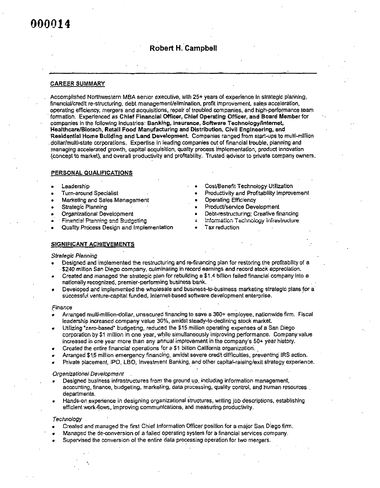## **Robert H. Campbell**

#### **CAREER SUMMARY**

Accomplished Northwestern MBA senior executive, with 25+ years of experience in strategic planning, financial/credit re-structuring, debt management/elimination, profit improvement, sales acceleration, operating efficiency, mergers and acquisitions, repair of troubled companies, and high-performance team formation. Experienced as Chief Financial Officer, Chief Operating Officer, and Board Member for companies in the following industries: Banking, Insurance, Software Technology/Internet, Healthcare/Blotech, Retall Food Manufacturing and Distribution, Civil Engineering, and Residential Home Building and Land Development. Companies ranged from start-ups to multi-million dollar/multi-state corporations. Expertise in leading companies out of financial trouble, planning and managing accelerated growth, capital acquisition, quality process implementation, product innovation (concept to market), and overall productivity and profitability. Trusted advisor to private company owners.

#### PERSONAL QUALIFICATIONS

#### Leadership

- **Turn-around Specialist**
- Marketing and Sales Management
- Strategic Planning
- Organizational Development
- Financial Planning and Budgeting
- Quality Process Design and Implementation
- Cost/Benefit Technology Utilization
- Productivity and Profitability improvement
- **Operating Efficiency**
- Product/service Development
- Debt-restructuring; Creative financing
- Information Technology Infrastructure
- Tax reduction

#### SIGNIFICANT ACHIEVEMENTS

#### **Strategic Planning**

- Designed and implemented the restructuring and re-financing plan for restoring the profitability of a \$240 million San Diego company, culminating in record earnings and record stock appreciation.
- Created and managed the strategic plan for rebuilding a \$1.4 billion failed financial company into a nationally recognized, premier-performing business bank.
- Developed and implemented the wholesale and business-to-business marketing strategic plans for a successful venture-capital funded, Internet-based software development enterprise.

#### Finance

- Arranged multi-million-dollar, unsecured financing to save a 300+ employee, nationwide firm. Fiscal leadership increased company value 30%, amidst steady-to-declining stock market.
- Utilizing "zero-based" budgeting, reduced the \$15 million operating expenses of a San Diego corporation by \$1 million in one year, while simultaneously improving performance. Company value increased in one year more than any annual improvement in the company's 50+ year history.
- Created the entire financial operations for a \$1 billion California organization.
- Arranged \$15 million emergency financing, amidst severe credit difficulties, preventing IRS action.
- Private placement, IPO, LBO, Investment Banking, and other capital-raising/exit strategy experience.

#### Organizational Development

- Designed business infrastructures from the ground up, including information management, accounting, finance, budgeting, marketing, data processing, quality control, and human resources. departments.
- Hands-on experience in designing organizational structures, writing job descriptions, establishing efficient work-flows, improving communications, and measuring productivity.

#### Technology

- Created and managed the first Chief Information Officer position for a major San Diego firm,
- Managed the de-conversion of a failed operating system for a financial services company.
- Supervised the conversion of the entire data processing operation for two mergers.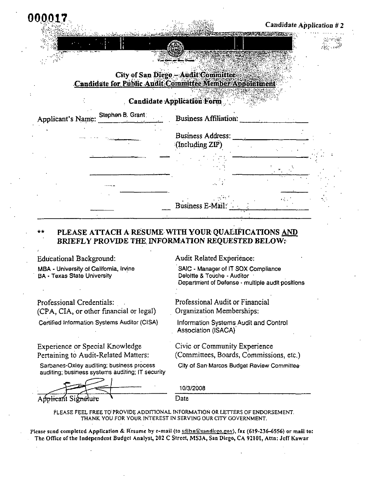Candidate Application #2

 $\sim 10^{-11}$ 

As Brita

## City of San Diego - Audit Committee Candidate for Public Audit Committee Member Appointment

## **Candidate Application Form**

| Stephen B. Grant:<br>Applicant's Name:<br>$\sim$ $\sim$ | <b>Business Affiliation:</b> |  |
|---------------------------------------------------------|------------------------------|--|
|                                                         | Business Address:            |  |
|                                                         | (Including ZIP)              |  |
|                                                         |                              |  |
|                                                         |                              |  |
|                                                         | Business E-Mail:             |  |
|                                                         |                              |  |

## PLEASE ATTACH A RESUME WITH YOUR QUALIFICATIONS AND BRIEFLY PROVIDE THE INFORMATION REQUESTED BELOW:

| Educational Background:                                                        | Audit Related Experience:                                                                                              |
|--------------------------------------------------------------------------------|------------------------------------------------------------------------------------------------------------------------|
| MBA - University of California, Irvine<br><b>BA - Texas State University</b>   | SAIC - Manager of IT SOX Compliance<br>Deloitte & Touche - Auditor<br>Department of Defense - multiple audit positions |
| Professional Credentials:<br>(CPA, CIA, or other financial or legal)           | Professional Audit or Financial<br>Organization Memberships:                                                           |
| Certified Information Systems Auditor (CISA)                                   | Information Systems Audit and Control<br>Association (ISACA)                                                           |
| <b>Experience or Special Knowledge</b><br>Pertaining to Audit-Related Matters: | Civic or Community Experience<br>(Committees, Boards, Commissions, etc.)                                               |

Sarbanes-Oxley auditing; business process auditing; business systems auditing; IT security

| Applicant Signature |  |  |
|---------------------|--|--|

000

10/3/2008

City of San Marcos Budget Review Committee

Date

PLEASE FEEL FREE TO PROVIDE ADDITIONAL INFORMATION OR LETTERS OF ENDORSEMENT. THANK YOU FOR YOUR INTEREST IN SERVING OUR CITY GOVERNMENT.

Please send completed Application & Resume by e-mail (to sdiba@sandicgo.gov), fax (619-236-6556) or mail to: The Office of the Independent Budget Analyst, 202 C Street, MS3A, San Diego, CA 92101, Attn: Jeff Kawar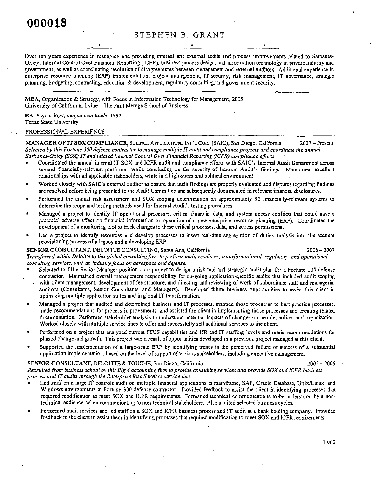## STEPHEN B. GRANT

Over ten years experience in managing and providing internal and external audits and process improvements related to Sarbanes-Oxley, Internal Control Over Financial Reporting (ICFR), business process design, and information technology in private industry and government, as well as coordinating resolution of disagreements between management and external auditors. Additional experience in enterprise resource planning (ERP) implementation, project management, IT security, risk management, IT governance, strategic planning, budgeting, contracting, education  $\&$  development, regulatory consulting, and government security.

MBA, Organization & Strategy, with Focus in Information Technology for Management, 2005 University of California, Irvine - The Paul Merage School of Business

BA, Psychology, magna cum laude, 1997 **Texas State University** 

#### PROFESSIONAL EXPERIENCE

MANAGER OF IT SOX COMPLIANCE, SCIENCE APPLICATIONS INT'L CORP (SAIC), San Diego, California  $2007 -$  Present Selected by this Fortune 300 defense contractor to manage multiple IT audit and compliance projects and coordinate the annual Sarbanes-Oxley (SOX) IT and related Internal Control Over Financial Reporting (ICFR) compliance efforts.

- Coordinated the annual internal IT SOX and ICFR audit and compliance efforts with SAIC's Internal Audit Department across several financially-relevant platforms, while concluding on the severity of Internal Audit's findings. Maintained excellent relationships with all applicable stakeholders, while in a high-stress and political environment.
- Worked closely with SAIC's external auditor to ensure that audit findings are properly evaluated and disputes regarding findings are resolved before being presented to the Audit Committee and subsequently documented in relevant financial disclosures.
- Performed the annual risk assessment and SOX scoping determination on approximately 30 financially-relevant systems to determine the scope and testing methods used for Internal Audit's testing procedures.
- Managed a project to identify IT operational processes, critical financial data, and system access conflicts that could have a potential adverse effect on financial information or operation of a new enterprise resource planning (ERP). Coordinated the development of a monitoring tool to track changes to these critical processes, data, and access permissions.
- Led a project to identify resources and develop processes to insert real-time segregation of duties analysis into the account provisioning process of a legacy and a developing ERP.

#### SENIOR CONSULTANT, DELOITTE CONSULTING, Santa Ana, California 2008 - 2006 - 2007

Transferred within Deloitte to this global consulting firm to perform audit readiness, transformational, regulatory, and operational consulting services, with an industry focus on aerospace and defense.

- Selected to fill a Senior Manager position on a project to design a risk tool and strategic audit plan for a Fortune 100 defense contractor. Maintained overall management responsibility for on-going application-specific audits that included audit scoping with client management, development of fee structure, and directing and reviewing of work of subordinate staff and managerial auditors (Consultants, Senior Consultants, and Managers). Developed future business opportunities to assist this client in optimizing multiple application suites and in global IT transformation.
- Managed a project that audited and determined business and IT processes, mapped those processes to best practice processes, made recommendations for process improvements, and assisted the client in implementing those processes and creating related documentation. Performed stakeholder analysis to understand potential impacts of changes on people, policy, and organization. Worked closely with multiple service lines to offer and successfully sell additional services to the client.
- Performed on a project that analyzed current HRIS capabilities and HR and IT staffing levels and made recommendations for phased change and growth. This project was a result of opportunities developed in a previous project managed at this client.
- Supported the implementation of a large-scale ERP by identifying trends in the perceived failure or success of a substantial application implementation, based on the level of support of various stakeholders, including executive management.

#### SENIOR CONSULTANT, DELOITTE & TOUCHE, San Diego, California (1998) 1998 - 2006 - 2006 - 2006

Recruited from business school by this Big 4 accounting firm to provide consulting services and provide SOX and ICFR business process and IT audits through the Enterprise Risk Services service line.

- Led staff on a large IT controls audit on multiple financial applications in mainframe, SAP, Oracle Database, Unix/Linux, and Windows environments at Fortune 300 defense contractor. Provided feedback to assist the client in identifying processes that required modification to meet SOX and ICFR requirements. Formatted technical communications to be understood by a nontechnical audience, when communicating to non-technical stakeholders. Also audited selected business cycles.
- Performed audit services and led staff on a SOX and ICFR business process and IT audit at a bank holding company. Provided feedback to the client to assist them in identifying processes that required modification to meet SOX and ICFR requirements.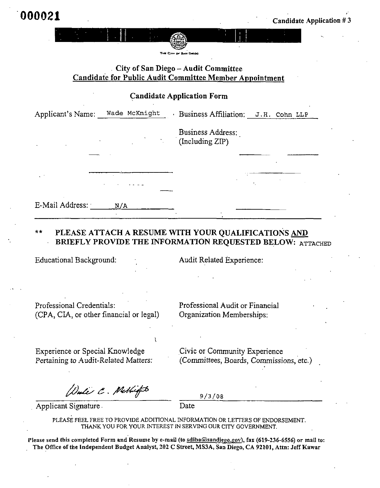## $City of San Diego - Audi Committee$ Candidate for Public Audit Committee Member Appointment

## **Candidate Application Form**

| Business Address:<br>(Including ZIP) |
|--------------------------------------|
|                                      |
|                                      |
|                                      |
|                                      |

#### $\star\star$ PLEASE ATTACH A RESUME WITH YOUR OUALIFICATIONS AND BRIEFLY PROVIDE THE INFORMATION REQUESTED BELOW: ATTACHED

Educational Background:

Audit Related Experience:

Professional (CPA, CIA, or other financial or legal) Professional Audit or Financial Organization Memberships:

Experience or Special Knowledge Pertaining to Audit-Related Matters: Civic or Community Experience (Committees, Boards, Commissions, etc.)

Date C. Methiopt

 $9/3/08$ 

Applicant Signature Date

Date

PLEASE FEEL FREE TO PROVIDE ADDITIONAL INFORMATION OR LETTERS OF ENDORSEMENT. THANK YOU FOR YOUR INTEREST IN SERVING OUR CITY GOVERNMENT.

ï

Please send this completed Form and Resume by e-mail (to sdiba@sandiego.gov), fax (619-236-6556) or mail to: The Office of the Independent Budget Analyst, 202 C Street, MS3A, San Diego, CA 92101, Attn: Jeff Kawar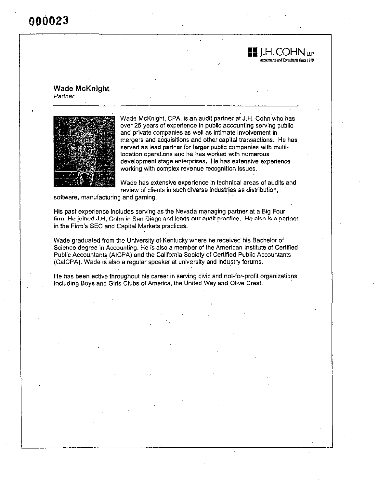**Wade McKnight** Partner



Wade McKnight, CPA, is an audit partner at J.H. Cohn who has over 25 years of experience in public accounting serving public public control of the control of the control of the control of the control of the control of the control of the and private companies as well as intimate involvement in mergers and acquisitions and other capital transactions. He has served as lead partner for larger public companies with multilocation operations and he has worked with numerous development stage enterprises. He has extensive experience working with complex revenue recognition issues.

H.H.COHN

countants and Consultants since 1919

 $\overline{11P}$ 

Wade has extensive experience in technical areas of audits and review of clients in such diverse industries as distribution,

software, manufacturing and gaming.

His past experience includes serving as the Nevada managing partner at a Big Four in the Firm's SEC and Capital Markets practices.

Wade graduated from the University of Kentucky where he received his Bachelor of Science degree in Accounting. He is also a member of the American Institute of Certified Public Accountants (AICPA) and the California Society of Certified Public Accountants (CalCPA). Wade is also a regular speaker at university and industry forums.

He has been active throughout his career in serving civic and not-for-profit organizations including Boys and Girls Clubs of America, the United Way and Olive Crest.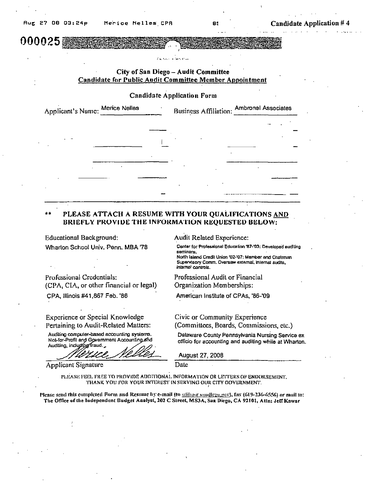000025

### City of San Diego - Audit Committee Candidate for Public Audit Committee Member Appointment

### **Candidate Application Form**

| Applicant's Name: Merice Nelles |  | Business Affiliation: Ambronel Associates |
|---------------------------------|--|-------------------------------------------|
|                                 |  |                                           |
|                                 |  |                                           |
|                                 |  |                                           |
|                                 |  |                                           |
|                                 |  |                                           |
|                                 |  |                                           |

### PLEASE ATTACH A RESUME WITH YOUR QUALIFICATIONS AND BRIEFLY PROVIDE THE INFORMATION REQUESTED BELOW:

**Educational Background:** Wharton School Univ. Penn. MBA '78

Professional Credentials: (CPA, CIA, or other financial or legal) CPA, Illinois #41,867 Feb. '86

**Experience or Special Knowledge** Pertaining to Audit-Related Matters:

Audiling computer-based accounting systems. Not-for-Profit and Government Accounting and Audiling, including fraud.

**Applicant Signature** 

Audit Related Experience:

Center for Professional Education '87-'93; Developed auditing seminars.

North Island Credit Union '02-'07: Member and Chelman Supervisory Comm. Oversaw external, internal audits, internal controls.

Professional Audit or Financial Organization Memberships:

American Institute of CPAs, '86-'09

Civic or Community Experience (Committees, Boards, Commissions, etc.)

Delaware County Pennsylvania Nursing Service ex officio for accounting and auditing while at Wharton.

**August 27, 2008** 

PLEASE FEEL FREE TO PROVIDE ADDITIONAL INFORMATION OR LETTERS OF ENDORSEMENT. THANK YOU FOR YOUR INTEREST IN SERVING OUR CITY GOVERNMENT.

Date

Please send this completed Form and Resume by e-mail (to soling a small good en (619-236-6556) or mail to: The Office of the Independent Budget Analyst, 202 C Street, MS3A, San Diego, CA 92101, Attn: Jeff Kawar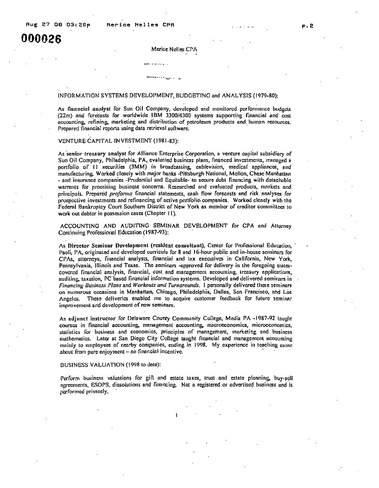#### Merice Nelles CPA

#### INFORMATION SYSTEMS DEVELOPMENT, BUDGETING and ANALYSIS (1979-80):

As .aunlyst Sun Oil Company, developed and monilored perrormonce budgets  $(22m)$  and forecasts for worldwide IBM  $3300/4300$  systems supporting financial and cost accounting, refining, marketing and distribution of petroleum products and human resources. Prepared financial reports using data retrieval software.

#### VENTURE CAPITAL INVESTMENT (1981-83):

As senior treasury analyst for Alliance Enterprise Corporation, a venture capital subsidiary of Sun Oil Company, Philadelphia, PA, evaluated business plans, financed investments, managed a portfolio of  $11$  securities  $(3MM)$  in broadcasting, cablevision, medical appliances, and manufacturing. Worked closely with major banks -Pittsburgh National, Mellon, Chase Manhattan - and insurance companies. Prudential and Equitable- to secure debt financing with detachable warrants for promising business concerns. Researched and evaluated products, markets and principals. Prepared *proforma* financial statements, cash flow forecasts and risk analyses for prospective investments and refinancing of active portfolio companies. Worked closely with the Federal Bankruptcy Court Southorn District of New York as member of creditor committees to work out debtor in possession cases (Chapter 11).

ACCOUNTING AND AUDITING SEMINAR DEVELOPMENT for CPA and Attorney Continuing Professional Education (1987-93):

As Director Seminar Development (resident consultant), Center for Professional Education, Paoli, PA, originated and developed curricula for 8 and 16-hour public and in-house seminars for CPAs, attorneys, financial analysts, financial and tax executives in California, New York, Pennsylvania, Illinois and Texas. The seminars -approved for delivery in the foregoing statescovered financial analysis, financial, cost and management accounting, treasury applications, auditing, taxation, PC based financial information systems. Developed and delivered seminars in Financing Business Plans and Workouts and Turnarounds. I personally delivered these seminars on numerous occasions in Manhattan, Chicago, Philadelphia, Dallas, San Francisco, and Los Angeles. These deliveries enabled me to acquire customer feedback for future seminar improvement and development of new seminars.

As adjunct instructor for Delaware County Community College, Media PA -1987-92 taught courses in financial accounting, management accounting, macroeconomics, microeconomics, stallistics for business and economics, principles of management, marketing and business mathematics. Later at San Diego City College taught financial and management accounting mainly to employees of nearby companies, ending in 1998. My experience in teaching came about from pure enjoyment  $-$  no financial incentive.

#### BUSINESS VALUATION (1998 to date):

Perform business valuations for gift and estate taxes, trust and estate planning, agreements, ESOPS, dissolutions and financing. Not a registered or advertised business and is performed privately.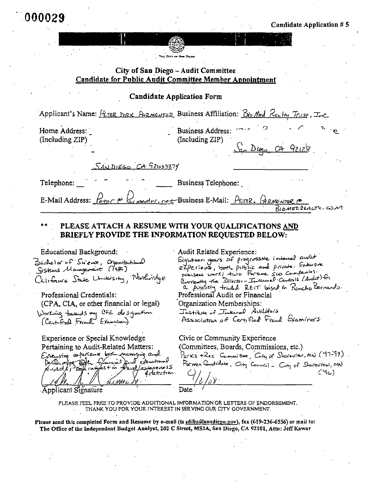Candidate Application

 $92.28$ 

## City of San Diego - Audit Committee Candidate for Public Audit Committee Member Appointment

**The City of Bay Do** 

## Candidate Application Form

Applicant's Name:  $f_{\text{E,TER}}$  DIRK Aramenter Business Affiliation:  $\beta_{\text{no}}$  Med  $\beta_{\text{en}}$  Hy Trust, Inc.

Home Address: (Including ZIP)

Telephone:

Business Address: (Including ZIP)

<u>SANDIEGO CA G210333</u>7Y

Business Telephone:

E-Mail Address:  $H_{\text{efro}}$   $\sim$   $\approx$   $\approx$  $r$  menter, net Business E-Mail: PETER. ARMENTER  $r$  $\overline{B}$ IDMED REALTY, COM

## PLEASE ATTACH A RESUME WITH YOUR QUALIFICATIONS AND BRIEFLY PROVIDE THE INFORMATION REQUESTED BELOW:

Educational

Bachelor uf Science, Organizational<br>Systems Management (1987) California State Linutersity, Northridge

Professional (CPA, CIA, or other financial or legal) Working towards my CFE designation

Experience or Special Knowledge Pertaining to Audit-Related Matters: Extensive arpenieure best managing and received to the Grand and concerned

detection

·Applicant Signature

Audit Related Experience: Eighteen years of progressive internal audit experience, both public and private. Extensive BURGLEY The Director - Internal Centres (Audit) for

a position traded REIT based in Rancho Bernardo. Professional Audit or Financial Organization Memberships:

Tastitute of Tinternal Auditors

Association of Certified Frank Examiners

Civic or Community Experience (Committees, Boards, Commissions, etc.)

Parks +Re.c Committee,  $G_H$  of Shorewiew, MN ( $'$ 97-99).

Former Condidate, City Council - City of Shoreview, MN

/y-

 $C$ '96)

PLEASE FEEL FREE TO PROVIDE ADDITIONAL INFORMATION OR LETTERS OF ENDORSEMENT. THANK YOU FOR YOUR INTEREST IN SERVING OUR CITY GOVERNMENT.

Pleasesend this completed Form and Resume by e-mail (to seliba@sandicgo.gov), fax (619–236-6556) or mail to: The Office of the Independent Budget Analyst, 202 C Street, MS3A, San Diego, CA 92101, Attn: Jeff Kawar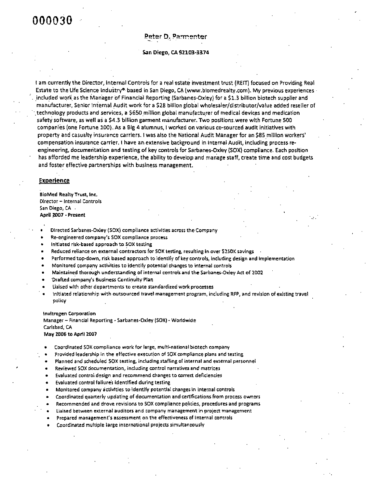#### Peter D. Parmenter

San Diego, CA 92103-3374

t am currently the Director, Internal Controls for a real estate investment trust (REIT) focused on Providing Real Estate to the Life Science Industry<sup>®</sup> based in San Diego, CA (www.biomedrealty.com). My previous experiences included work as the Manager of Financial Reporting (Sarbanes-Oxley) for a \$1.3 billion biotech supplier and manufacturer, Senior Internal Audit work for a \$28 billion global wholesaler/distributor/value added reseller of technology products and services, a \$650 million global manufacturer of medical devices and medication safety software, as well as a \$4.3 billion garment manufacturer. Two positions were with Fortune 500 companies (one Fortune 100). As a Big 4 alumnus, I worked on various co-sourced audit initiatives with property and casualty insurance carriers. I was also the National Audit Manager for an \$85 million workers' compensation insurance carrier. I have an extensive background in internal Audit, including process reengineering, documentation and testing of key controls for Sarbanes-Oxley (SOX) compliance. Each position has afforded me leadership experience, the ability to develop and manage staff, create time and cost budgets and foster effective partnerships with business management.

### **Experience**

**BioMed Realty Trust, Inc.** Director - Internal Controls San Diego, CA -April 2007 - Present

- Directed Sarbanes-Oxley (SOX) compliance activities across the Company
- Re-engineered company's SOX compliance process
- Initiated risk-based approach to SOX testing
- Reduced reliance on external contractors for SOX testing, resulting in over \$250K savings
- Performed top-down, risk based approach to identify of key controls, including design and implementation
- Monitored company activities to identify potential changes to internal controls
- Maintained thorough understanding of internal controls and the Sarbanes-Oxley Act of 2002
- Drafted company's Business Continuity Plan
- Lialsed with other departments to create standardized work processes
- initiated relationship with outsourced travel management program, including RFP, and revision of existing travel policy

#### Invitrogen Corporation

Manager - Financial Reporting - Sarbanes-Oxiey (SOX) - Worldwide Carisbad, CA May 2006 to April 2007

- Coordinated SOX compliance work for large, multi-national biotech company
- Provided leadership in the effective execution of SOX compliance plans and testing
- Planned and scheduled SOX testing, including staffing of internal and external personnel
- Reviewed SOX documentation, including control narratives and matrices
- Evaluated control design and recommend changes to correct deficiencies
- Evaluated control failures identified during testing
- Monitored company activities to identify potential changes in internal controls
- Coordinated quarterly updating of documentation and certifications from process owners
- Recommended and drove revisions to SOX compliance policies, procedures and programs
- Liaised between external auditors and company management in project management
- Prepared management's assessment on the effectiveness of internal controls
- Coordinated multiple large international projects simultaneously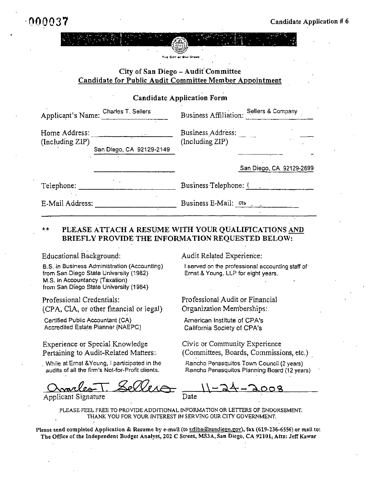| . . | ш                        |     |  |
|-----|--------------------------|-----|--|
| . . | .                        |     |  |
| . . | $-1$                     | .   |  |
| . . | دد.                      | . . |  |
| . . | $\overline{\phantom{a}}$ | . . |  |
|     | . .<br>.<br>$\cdots$     |     |  |

City of San Diego - Audit Committee Candidate for Public Audit Committee Member Appointment

**Candidate Application Form** 

| Applicant's Name:                | Charles T. Sellers       | <b>Business Affiliation:</b>         | Sellers & Company        |
|----------------------------------|--------------------------|--------------------------------------|--------------------------|
| Home Address:<br>(Including ZIP) | San Diego, CA 92129-2149 | Business Address:<br>(Including ZIP) |                          |
|                                  |                          |                                      | San Diego, CA 92129-2699 |
| Telephone:                       |                          | Business Telephone: (                |                          |
| E-Mail Address:                  |                          | Business E-Mail: $\sigma s$ .        |                          |

#### $+ +$ PLEASE ATTACH A RESUME WITH YOUR QUALIFICATIONS AND BRIEFLY PROVIDE THE INFORMATION REQUESTED BELOW:

**Educational Background:** 

B.S. in Business Administration (Accounting) from San Diego State University (1982) M.S. in Accountancy (Taxation) from San Diego State University (1984)

Professional Credentials: (CPA, CIA, or other financial or legal)

Certified Public Accountant (CA) Accredited Estate Planner (NAEPC)

Experience or Special Knowledge Pertaining to Audit-Related Matters:

While at Ernst &Young, I participated in the audits of all the firm's Not-for-Profit

Applicant Signature

Audit Related

I served on the professional accounting staff of Ernst & Young, LLP for eight years.

Professional Audit or Financial Professional Audit or Financial Organization Memberships:

American Institute of CPA's California Society of CPA's

Civic or Community Experience (Committees, Boards, Commissions, etc.)

Rancho Penasquitos Town Council (2 years) Rancho Penasquitos Planning

PLEASE FEEL FREE TO PROVIDE ADDITIONAL INFORMATION OR LETTERS OF ENDORSEMENT. THANK YOU FOR YOUR INTEREST IN SERVING OUR CITY GOVERNMENT.

Please send completed Application & Resume by e-mail (to sdiba@sandicgo.gov), fax (619-236-6556) or mail to: The Office of the Independent Budget Analyst, 202 C Street, MS3A, San Diego, CA 92101, Attn: Jeff Kawar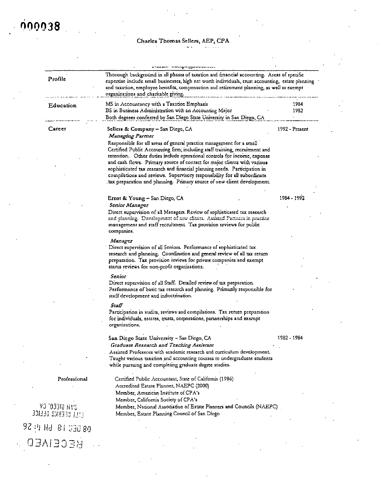## Charles Thomas Sellers, AEP, CPA

| Profile                           | Thorough background in all phases of taxation and financial accounting. Areas of specific<br>expertise include small businesses, high net worth individuals, trust accounting, estate planning<br>and taxation, employee benefits, compensation and retirement planning, as well as exempt<br>organizations and charitable giving.                                                                                                                                                                                                              |                  |
|-----------------------------------|-------------------------------------------------------------------------------------------------------------------------------------------------------------------------------------------------------------------------------------------------------------------------------------------------------------------------------------------------------------------------------------------------------------------------------------------------------------------------------------------------------------------------------------------------|------------------|
| Education                         | MS in Accountancy with a Taxation Emphasis<br>BS in Business Administration with an Accounting Major                                                                                                                                                                                                                                                                                                                                                                                                                                            | 1984<br>1982     |
|                                   | Both degrees conferred by San Diego State University in San Diego, CA                                                                                                                                                                                                                                                                                                                                                                                                                                                                           |                  |
| Career                            | Sellers & Company - San Diego, CA<br><i><b>Managing Parmer</b></i>                                                                                                                                                                                                                                                                                                                                                                                                                                                                              | $1992 -$ Present |
|                                   | Responsible for all areas of general practice management for a small<br>Certified Public Accounting firm; including staff training, recruitment and<br>retention. Other duties include operational controls for income, expense<br>and cash flows. Primary source of contact for major clients with various<br>sophisticated tax research and financial planning needs. Participation in<br>compilations and reviews. Supervisory responsibility for all subordinate<br>tax preparation and planning. Primary source of new client development. |                  |
|                                   |                                                                                                                                                                                                                                                                                                                                                                                                                                                                                                                                                 |                  |
|                                   | Ernst & Young - San Diego, CA                                                                                                                                                                                                                                                                                                                                                                                                                                                                                                                   | 1984 - 1992      |
|                                   | Senior Manager<br>Direct supervision of all Managers. Review of sophisticated tax research<br>and planning. Development of now clients. Assisted Partners in praetice<br>management and staff recruitment. Tax provision reviews for public<br>companies.                                                                                                                                                                                                                                                                                       |                  |
|                                   | Manager<br>Direct supervision of all Seniors. Performance of sophisticated tax<br>research and planning. Coordination and general review of all tax return<br>preparation. Tax provision reviews for private companies and exempt<br>starus reviews for non-profit organizations.                                                                                                                                                                                                                                                               |                  |
|                                   | Senior<br>Direct supervision of all Staff. Detailed review of tax preparation.<br>Performance of basic tax research and planning. Primarily responsible for<br>staff development and indoctrination.                                                                                                                                                                                                                                                                                                                                            |                  |
|                                   | Staff                                                                                                                                                                                                                                                                                                                                                                                                                                                                                                                                           |                  |
|                                   | Participation in audits, reviews and compilations. Tax return preparation<br>for individuals, estates, trusts, corporations, partnerships and exempt<br>organizations.                                                                                                                                                                                                                                                                                                                                                                          |                  |
|                                   | San Diego State University - San Diego, CA                                                                                                                                                                                                                                                                                                                                                                                                                                                                                                      | 1982 - 1984      |
|                                   | Graduate Research and Teaching Assistant                                                                                                                                                                                                                                                                                                                                                                                                                                                                                                        |                  |
|                                   | Assisted Professors with academic research and curriculum development.<br>Taught various taxation and accounting courses to undergraduate students<br>while pursuing and completing graduate degree studies.                                                                                                                                                                                                                                                                                                                                    |                  |
| Professional                      | Certified Public Accountant, State of California (1986)<br>Accredited Estate Planner, NAEPC (2000)                                                                                                                                                                                                                                                                                                                                                                                                                                              |                  |
|                                   | Member, American Institute of CPA's                                                                                                                                                                                                                                                                                                                                                                                                                                                                                                             |                  |
|                                   | Member, California Society of CPA's                                                                                                                                                                                                                                                                                                                                                                                                                                                                                                             |                  |
| YJ '03310 HYS<br>EEL CEEKS GEEICE | Member, National Association of Estate Planners and Councils (NAEPC)<br>Member, Estate Planning Council of San Diego                                                                                                                                                                                                                                                                                                                                                                                                                            |                  |

 $92$  $3.36$  OENED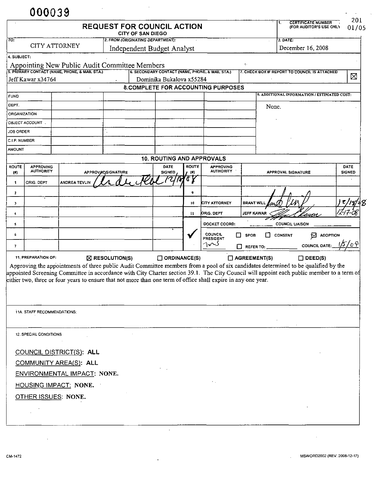|                       |                                                    |                                               |                                               | <b>REQUEST FOR COUNCIL ACTION</b><br>CITY OF SAN DIEGO                                                        |                       |                                      |                         | <b>CERTIFICATE NUMBER</b><br>(FOR AUDITOR'S USE ONLY                                                                                                                                                                                                                            | 201<br>01/05          |
|-----------------------|----------------------------------------------------|-----------------------------------------------|-----------------------------------------------|---------------------------------------------------------------------------------------------------------------|-----------------------|--------------------------------------|-------------------------|---------------------------------------------------------------------------------------------------------------------------------------------------------------------------------------------------------------------------------------------------------------------------------|-----------------------|
| $\overline{10}$       | 2. FROM (ORIGINATING DEPARTMENT):                  |                                               |                                               |                                                                                                               | $3.$ DATE:            |                                      |                         |                                                                                                                                                                                                                                                                                 |                       |
|                       | <b>CITY ATTORNEY</b><br>Independent Budget Analyst |                                               |                                               |                                                                                                               |                       | December 16, 2008                    |                         |                                                                                                                                                                                                                                                                                 |                       |
| 4. SUBJECT:           |                                                    |                                               | Appointing New Public Audit Committee Members |                                                                                                               |                       |                                      | $\zeta$ .               |                                                                                                                                                                                                                                                                                 |                       |
|                       |                                                    | 5. PRIMARY CONTACT (NAME, PHONE, & MAIL STA.) |                                               | [6. SECONDARY CONTACT (NAME, PHONE, & MAIL STA.)                                                              |                       |                                      |                         | 7. CHECK BOX IF REPORT TO COUNCIL IS ATTACHED                                                                                                                                                                                                                                   |                       |
|                       | Jeff Kawar x34764                                  |                                               |                                               | Dominika Bukalova x55284                                                                                      |                       |                                      |                         |                                                                                                                                                                                                                                                                                 | X                     |
|                       |                                                    |                                               |                                               | 8.COMPLETE FOR ACCOUNTING PURPOSES                                                                            |                       |                                      |                         | 9. ADDITIONAL INFORMATION / ESTIMATED COST:                                                                                                                                                                                                                                     |                       |
| <b>FUND</b><br>DEPT.  |                                                    |                                               |                                               |                                                                                                               |                       |                                      |                         |                                                                                                                                                                                                                                                                                 |                       |
| <b>ORGANIZATION</b>   |                                                    |                                               |                                               |                                                                                                               |                       |                                      | None.                   |                                                                                                                                                                                                                                                                                 |                       |
|                       | OBJECT ACCOUNT                                     |                                               |                                               |                                                                                                               |                       |                                      |                         |                                                                                                                                                                                                                                                                                 |                       |
| <b>JOB ORDER</b>      |                                                    |                                               |                                               |                                                                                                               |                       |                                      |                         |                                                                                                                                                                                                                                                                                 |                       |
| C.I.P. NUMBER         |                                                    |                                               |                                               |                                                                                                               |                       |                                      |                         |                                                                                                                                                                                                                                                                                 |                       |
| <b>AMOUNT</b>         |                                                    |                                               |                                               |                                                                                                               |                       |                                      |                         |                                                                                                                                                                                                                                                                                 |                       |
|                       |                                                    |                                               |                                               | <b>10. ROUTING AND APPROVALS</b>                                                                              |                       |                                      |                         |                                                                                                                                                                                                                                                                                 |                       |
| <b>ROUTE</b><br>$($ # | <b>APPROVING</b><br><b>AUTHORITY</b>               |                                               | APPROVADSIGNATURE                             | DATE<br><b>SIGNED</b>                                                                                         | <b>ROUTE</b><br>- (#) | <b>APPROVING</b><br><b>AUTHORITY</b> |                         | <b>APPROVAL SIGNATURE</b>                                                                                                                                                                                                                                                       | DATE<br><b>SIGNED</b> |
| 1                     | ORIG. DEPT                                         | <b>ANDREA TEVLIN</b>                          |                                               |                                                                                                               | 'T y                  |                                      |                         |                                                                                                                                                                                                                                                                                 |                       |
| $\mathbf{z}$          |                                                    |                                               |                                               |                                                                                                               | 9                     |                                      |                         |                                                                                                                                                                                                                                                                                 |                       |
| 3                     |                                                    |                                               |                                               |                                                                                                               | 10                    | <b>CITY ATTORNEY</b>                 | <b>BRANT WILL</b>       |                                                                                                                                                                                                                                                                                 | 78/18                 |
| 4                     |                                                    |                                               |                                               |                                                                                                               | 11                    | ORIG. DEPT                           | <b>JEFF KAWAR</b>       | layar                                                                                                                                                                                                                                                                           |                       |
| 5                     |                                                    |                                               |                                               |                                                                                                               |                       | DOCKET COORD:                        |                         | <b>COUNCIL LIAISON</b>                                                                                                                                                                                                                                                          |                       |
| 6                     |                                                    |                                               |                                               |                                                                                                               |                       | COUNCIL                              | 0.<br>П.<br><b>SPOB</b> | $\mathbf{B}$ adoption<br><b>CONSENT</b>                                                                                                                                                                                                                                         |                       |
|                       |                                                    |                                               |                                               |                                                                                                               |                       | <b>PRESIDENT</b><br>کہ∧∩             |                         | <b>COUNCIL DATE:</b>                                                                                                                                                                                                                                                            |                       |
| 7                     |                                                    |                                               |                                               |                                                                                                               |                       |                                      | □<br>REFER TO:          |                                                                                                                                                                                                                                                                                 |                       |
|                       | 11. PREPARATION OF:                                |                                               | $\boxtimes$ RESOLUTION(S)                     |                                                                                                               | $\Box$ ORDINANCE(S)   |                                      | $\Box$ AGREEMENT(S)     | $\Box$ DEED(S)                                                                                                                                                                                                                                                                  |                       |
|                       |                                                    |                                               |                                               | either two, three or four years to ensure that not more than one term of office shall expire in any one year. |                       |                                      |                         | Approving the appointments of three public Audit Committee members from a pool of six candidates determined to be qualified by the<br>appointed Screening Committee in accordance with City Charter section 39.1. The City Council will appoint each public member to a term of |                       |
|                       | 11A. STAFF RECOMMENDATIONS:                        |                                               |                                               |                                                                                                               |                       |                                      |                         |                                                                                                                                                                                                                                                                                 |                       |
|                       |                                                    |                                               |                                               |                                                                                                               |                       |                                      |                         |                                                                                                                                                                                                                                                                                 |                       |
|                       | <b>12. SPECIAL CONDITIONS</b>                      |                                               |                                               |                                                                                                               |                       |                                      |                         |                                                                                                                                                                                                                                                                                 |                       |
|                       |                                                    |                                               |                                               |                                                                                                               |                       |                                      |                         |                                                                                                                                                                                                                                                                                 |                       |
|                       |                                                    | COUNCIL DISTRICT(S): ALL                      |                                               |                                                                                                               |                       |                                      |                         |                                                                                                                                                                                                                                                                                 |                       |
|                       |                                                    | COMMUNITY AREA(S): ALL                        |                                               |                                                                                                               |                       |                                      |                         |                                                                                                                                                                                                                                                                                 |                       |
|                       |                                                    | ENVIRONMENTAL IMPACT: NONE.                   |                                               |                                                                                                               |                       |                                      |                         |                                                                                                                                                                                                                                                                                 |                       |
|                       |                                                    | HOUSING IMPACT: NONE.                         |                                               |                                                                                                               |                       |                                      |                         |                                                                                                                                                                                                                                                                                 |                       |
|                       | OTHER ISSUES: NONE.                                |                                               |                                               |                                                                                                               |                       |                                      |                         |                                                                                                                                                                                                                                                                                 |                       |
|                       |                                                    |                                               |                                               |                                                                                                               |                       |                                      |                         |                                                                                                                                                                                                                                                                                 |                       |

 $\mathcal{A}$ 

 $\mathcal{L}_{\text{max}}$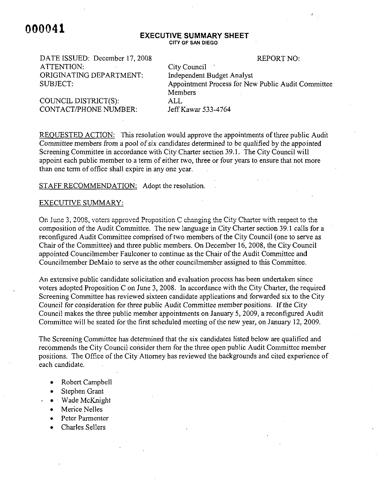#### **EXECUTIVE SUMMARY SHEET CITY OF SAN DIEGO**

**REPORT NO:** 

DATE ISSUED: December 17, 2008 DATE ISSUED: December 2008 REPORT NO: ATTENTION ATTENTION: City ORIGINATING DEPARTMENT: SUBJECT:

COUNCIL DISTRICT(S):

Independent Budget Analyst Appointment Process for New Public Audit Committee Members ALL Jeff Kawar 533-4764

REQUESTED ACTION: This resolution would approve the appointments of three public Audit Committee members from a pool of six candidates determined to be qualified by the appointed Screening Committee in accordance with City Charter section 39.1. The City Council will appoint each public member to a term of either two, three or four years to ensure that not more than one term of office shall expire in any one year.

STAFF RECOMMENDATION: Adopt the resolution.

### EXECUTIVE SUMMARY:

On June 3, 2008, voters approved Proposition C changing the City Charter with respect to the composition of the Audit Committee. The new language in City Charter section 39.1 calls for a reconfigured Audit Committee comprised of two members of the City Council (one to serve as Chair of the Committee) and three public members. On December 16, 2008, the City Council appointed Councilmember Faulconer to continue as the Chair of the Audit Committee and Councilmember DeMaio to serve as the other councilmember assigned to this Committee.

An extensive public candidate solicitation and evaluation process has been undertaken since voters adopted Proposition C on June 3, 2008. In accordance with the City Charter, the required Screening Committee has reviewed sixteen candidate applications and forwarded six to the City Council for consideration for three public Audit Committee member positions. If the City Council makes the three public member appointments on January 5, 2009, a reconfigured Audit Committee will be seated for the first scheduled meeting of the new year, on January 12, 2009.

The Screening Committee has determined that the six candidates listed below are qualified and recommends the City Council consider them for the three open public Audit Committee member positions. The Office of the City Attorney has reviewed the backgrounds and cited experience of each candidate.

- Robert Campbell  $\bullet$
- Stephen Grant
- $\bullet$  Wade McKnight
- Merice Nelles
- Peter Parmenter Parmenter
- Charles Sellers $\bullet$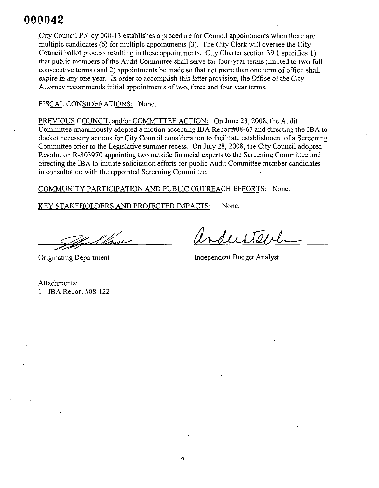City Council Policy 000-13 establishes a procedure for Council appointments when there are Policy establishes Council appointments are multiple candidates (6) for multiple appointments (3). The City Clerk will oversee the City multiple candidates multiple appointments (3). City Council ballot process resulting in these appointments. City Charter section 39.1 specifies 1) that public members of the Audit Committee shall serve for four-year terms (limited to two full Committee (limited full consecutive terms) and 2) appointments be made so that not more than one term of office shall consecutive terms) approximately be approximately shall be approximately shall be approximately shall be a shall be a expire in any one year. In order to accomplish this latter provision, the Office of the City Attorney recommends initial appointments of two, three and four year terms.

#### FISCAL CONSIDERATIONS: None. Fiscal None. In the second contract of the second contract of the second contract of the second contract of the second contract of the second contract of the second contract of the second contract of the second contract of

PREVIOUS COUNCIL and/or COMMITTEE ACTION: On June 23, 2008, the Audit Committee unanimously accepting Report#08-67 to docket necessary actions for City Council consideration to facilitate establishment of a Screening necessary actions consideration facilitate establishment of Screening Committee prior to the Legislative summer recess. On July 28, 2008, the City Council adopted Resolution R-303970 appointing two outside financial experts to the Screening Committee and directing the IBA to initiate solicitation efforts for public Audit Committee member candidates in consultation with the appointed Screening Committee.

COMMUNITY PARTICIPATION AND PUBLIC OUTREACH EFFORTS: None.

KEY STAKEHOLDERS AND PROJECTED IMPACTS: None.

<u>24 L fla</u>uar

dustenl

Originating Department and The Independent Budget Analyst

Attachments: -IBA Report #08-122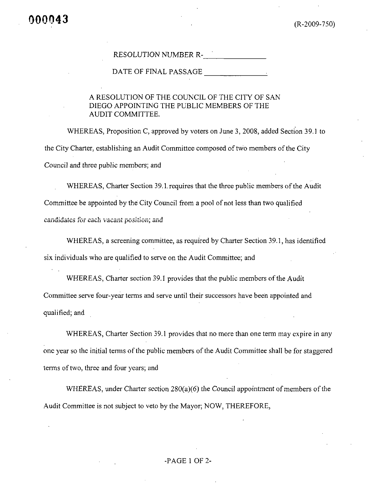## RESOLUTION NUMBER R-

DATE OF FINAL PASSAGE FOR THE RESERVE THAT A STRIKE AND THE RESERVE THAT A STRIKE AND THE RESERVE THAT A STRIKE

## A RESOLUTION OF THE COUNCIL OF THE CITY OF SAN DIEGO APPOINTING THE PUBLIC MEMBERS OF THE **AUDIT COMMITTEE.**

WHEREAS, Proposition C, approved by voters on June 3, 2008, added Section 39.1 to the City Charter, establishing an Audit Committee composed of two members of the City Council and three public members; and

WHEREAS, Charter Section 39.1 requires that the three public members of the Audit Committee be appointed by the City Council from a pool of not less than two qualified candidates for each vacant position; and

WHEREAS, a screening committee, as required by Charter Section 39.1, has identified six individuals who are qualified to serve on the Audit Committee; and

WHEREAS, Charter section 39.1 provides that the public members of the Audit Committee serve four-year terms and serve until their successors have been appointed and qualified; and

WHEREAS, Charter Section 39.1 provides that no more than one term may expire in any one year so the initial terms of the public members of the Audit Committee shall be for staggered terms of two, three and four years; and

WHEREAS, under Charter section  $280(a)(6)$  the Council appointment of members of the Audit Committee is not subject to veto by the Mayor; NOW, THEREFORE,

## -PAGE 1 OF 2-